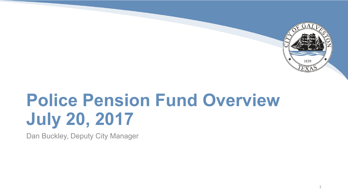

1

# **Police Pension Fund Overview July 20, 2017**

Dan Buckley, Deputy City Manager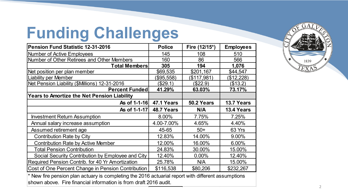## **Funding Challenges**

| <b>Pension Fund Statistic 12-31-2016</b>                                                                                                                                | <b>Police</b> | Fire (12/15*) | <b>Employees</b> |  |  |
|-------------------------------------------------------------------------------------------------------------------------------------------------------------------------|---------------|---------------|------------------|--|--|
| <b>Number of Active Employees</b>                                                                                                                                       | 145           | 108           | 510              |  |  |
| Number of Other Retirees and Other Members                                                                                                                              | 160           | 86            | 566              |  |  |
| <b>Total Members</b>                                                                                                                                                    | 305           | 194           | 1,076            |  |  |
| Net position per plan member                                                                                                                                            | \$69,535      | \$201,167     | \$44,547         |  |  |
| <b>Liability per Member</b>                                                                                                                                             | (\$95,558)    | (\$117,981)   | (\$12,228)       |  |  |
| Net Pension Liability (\$Millions) 12-31-2016                                                                                                                           | (\$29.1)      | (\$22.9)      | (\$13.2)         |  |  |
| <b>Percent Funded</b>                                                                                                                                                   | 41.29%        | 63.03%        | 73.17%           |  |  |
| <b>Years to Amortize the Net Pension Liability</b>                                                                                                                      |               |               |                  |  |  |
| As of 1-1-16                                                                                                                                                            | 47.1 Years    | 50.2 Years    | 13.7 Years       |  |  |
| As of 1-1-17                                                                                                                                                            | 48.7 Years    | N/A           | 13.4 Years       |  |  |
| <b>Investment Return Assumption</b>                                                                                                                                     | 8.00%         | 7.75%         | 7.25%            |  |  |
| Annual salary increase assumption                                                                                                                                       | 4.00-7.00%    | 4.65%         | 4.40%            |  |  |
| Assumed retirement age                                                                                                                                                  | 45-65         | $50+$         | 63 Yrs           |  |  |
| <b>Contribution Rate by City</b>                                                                                                                                        | 12.83%        | 14.00%        | 9.00%            |  |  |
| <b>Contribution Rate by Active Member</b>                                                                                                                               | 12.00%        | 16.00%        | 6.00%            |  |  |
| <b>Total Pension Contribution</b>                                                                                                                                       | 24.83%        | 30.00%        | 15.00%           |  |  |
| Social Security Contribution by Employee and City                                                                                                                       | 12.40%        | $0.00\%$      | 12.40%           |  |  |
| Required Pension Contrib. for 40 Yr Amortization                                                                                                                        | 25.78%        | N/A           | 15.00%           |  |  |
| Cost of One Percent Change in Pension Contribution                                                                                                                      | \$116,538     | \$80,206      | \$232,267        |  |  |
| * New fire pension plan actuary is completing the 2016 actuarial report with different assumptions<br>shown above. Fire financial information is from draft 2016 audit. |               |               |                  |  |  |

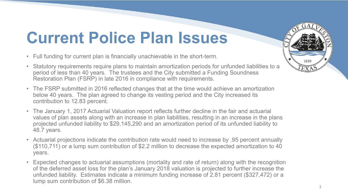## **Current Police Plan Issues**

- Full funding for current plan is financially unachievable in the short-term.
- Statutory requirements require plans to maintain amortization periods for unfunded liabilities to a period of less than 40 years. The trustees and the City submitted a Funding Soundness Restoration Plan (FSRP) in late 2016 in compliance with requirements.
- The FSRP submitted in 2016 reflected changes that at the time would achieve an amortization below 40 years. The plan agreed to change its vesting period and the City increased its contribution to 12.83 percent.
- The January 1, 2017 Actuarial Valuation report reflects further decline in the fair and actuarial values of plan assets along with an increase in plan liabilities, resulting in an increase in the plans projected unfunded liability to \$29,145,290 and an amortization period of its unfunded liability to 48.7 years.
- Actuarial projections indicate the contribution rate would need to increase by .95 percent annually (\$110,711) or a lump sum contribution of \$2.2 million to decrease the expected amortization to 40 years.
- Expected changes to actuarial assumptions (mortality and rate of return) along with the recognition of the deferred asset loss for the plan's January 2018 valuation is projected to further increase the unfunded liability. Estimates indicate a minimum funding increase of 2.81 percent (\$327,472) or a lump sum contribution of \$6.38 million.

1839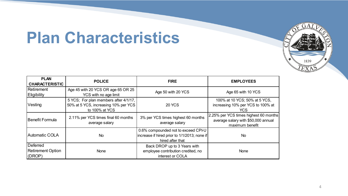#### **Plan Characteristics**



| <b>PLAN</b><br><b>CHARACTERISTIC</b>                  | <b>POLICE</b>                                                                                   | <b>FIRE</b>                                                                                             | <b>EMPLOYEES</b>                                                                                |
|-------------------------------------------------------|-------------------------------------------------------------------------------------------------|---------------------------------------------------------------------------------------------------------|-------------------------------------------------------------------------------------------------|
| Retirement<br>Eligibility                             | Age 45 with 20 YCS OR age 65 OR 25<br>YCS with no age limit                                     | Age 50 with 20 YCS                                                                                      | Age 65 with 10 YCS                                                                              |
| Vesting                                               | 5 YCS; For plan members after 4/1/17,<br>50% at 5 YCS, increasing 10% per YCS<br>to 100% at YCS | <b>20 YCS</b>                                                                                           | 100% at 10 YCS; 50% at 5 YCS,<br>increasing 10% per YCS to 100% at<br>YCS                       |
| <b>Benefit Formula</b>                                | 2.11% per YCS times final 60 months<br>average salary                                           | 3% per YCS times highest 60 months<br>average salary                                                    | 2.25% per YCS times highest 60 months<br>average salary with \$50,000 annual<br>maximum benefit |
| <b>Automatic COLA</b>                                 | N <sub>o</sub>                                                                                  | 0.6% compounded not to exceed CPI-U<br>increase if hired prior to 1/1/2013; none if<br>hired after that | No.                                                                                             |
| <b>Deferred</b><br><b>Retirement Option</b><br>(DROP) | <b>None</b>                                                                                     | Back DROP up to 3 Years with<br>employee contribution credited, no<br>interest or COLA                  | <b>None</b>                                                                                     |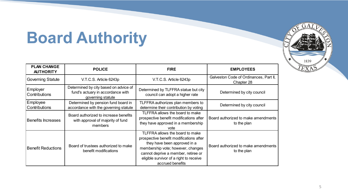## **Board Authority**

| <b>PLAN CHANGE</b><br><b>AUTHORITY</b> | <b>POLICE</b>                                                                                   | <b>FIRE</b>                                                                                                                                                                                                                                           | <b>EMPLOYEES</b>                                     |
|----------------------------------------|-------------------------------------------------------------------------------------------------|-------------------------------------------------------------------------------------------------------------------------------------------------------------------------------------------------------------------------------------------------------|------------------------------------------------------|
| <b>Governing Statute</b>               | V.T.C.S. Article 6243p                                                                          | V.T.C.S. Article 6243p                                                                                                                                                                                                                                | Galveston Code of Ordinances, Part II,<br>Chapter 28 |
| Employer<br><b>Contributions</b>       | Determined by city based on advice of<br>fund's actuary in accordance with<br>governing statute | Determined by TLFFRA statue but city<br>council can adopt a higher rate                                                                                                                                                                               | Determined by city council                           |
| Employee<br><b>Contributions</b>       | Determined by pension fund board in<br>accordance with the governing statute                    | TLFFRA authorizes plan members to<br>determine their contribution by voting                                                                                                                                                                           | Determined by city council                           |
| <b>Benefits Increases</b>              | Board authorized to increase benefits<br>with approval of majority of fund<br>members           | TLFFRA allows the board to make<br>prospective benefit modifications after<br>they have approved in a membership<br>vote                                                                                                                              | Board authorized to make amendments<br>to the plan   |
| <b>Benefit Reductions</b>              | Board of trustees authorized to make<br>benefit modifications                                   | TLFFRA allows the board to make<br>prospective benefit modifications after<br>they have been approved in a<br>membership vote; however, changes<br>cannot deprive a member, retiree or<br>eligible survivor of a right to receive<br>accrued benefits | Board authorized to make amendments<br>to the plan   |

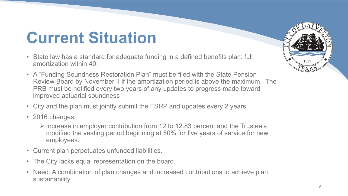## **Current Situation**

- State law has a standard for adequate funding in a defined benefits plan: full amortization within 40.
- A "Funding Soundness Restoration Plan" must be filed with the State Pension Review Board by November 1 if the amortization period is above the maximum. The PRB must be notified every two years of any updates to progress made toward improved actuarial soundness
- City and the plan must jointly submit the FSRP and updates every 2 years.
- 2016 changes:
	- $\triangleright$  Increase in employer contribution from 12 to 12.83 percent and the Trustee's modified the vesting period beginning at 50% for five years of service for new employees.
- Current plan perpetuates unfunded liabilities.
- The City lacks equal representation on the board.
- Need: A combination of plan changes and increased contributions to achieve plan sustainability.